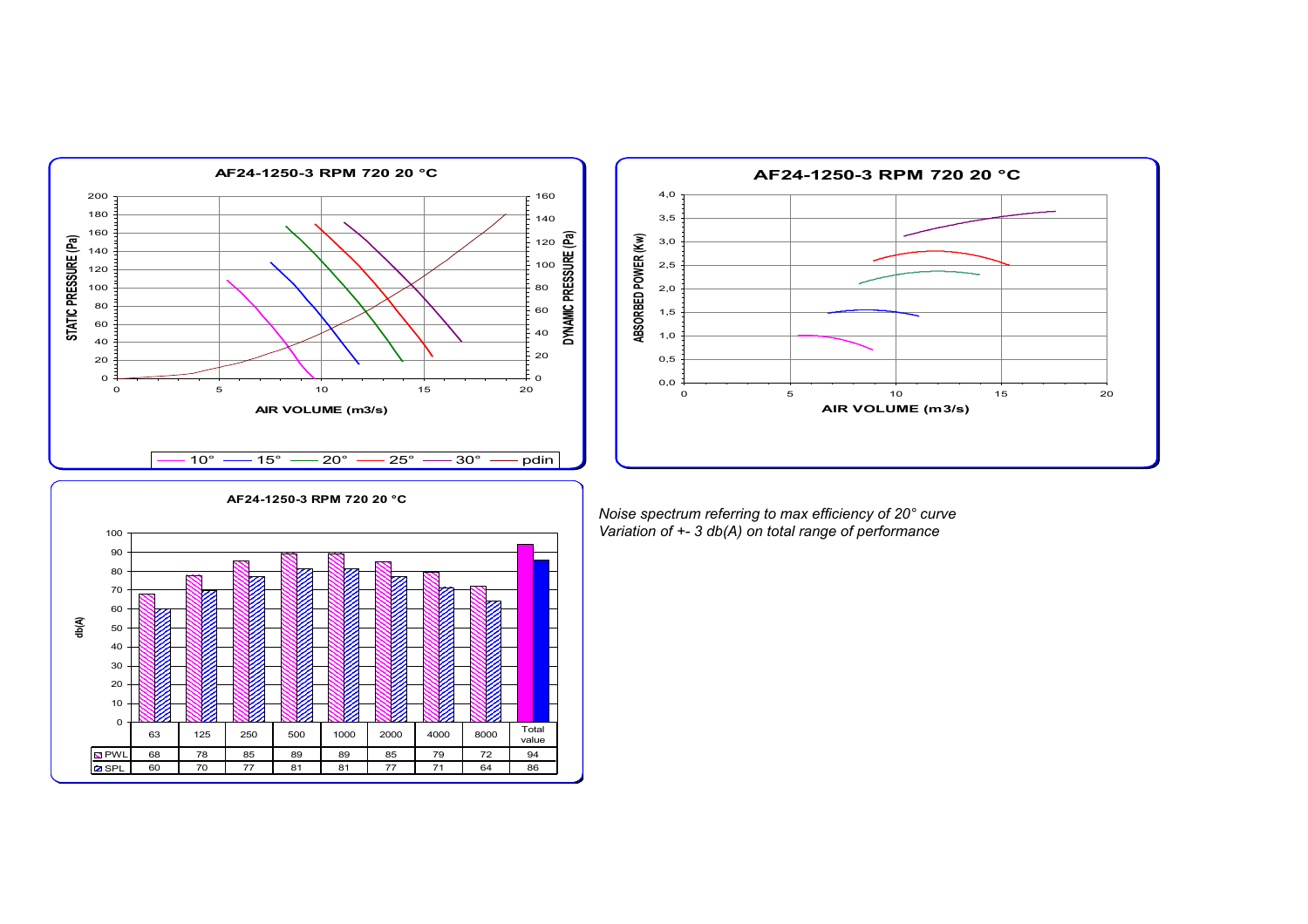



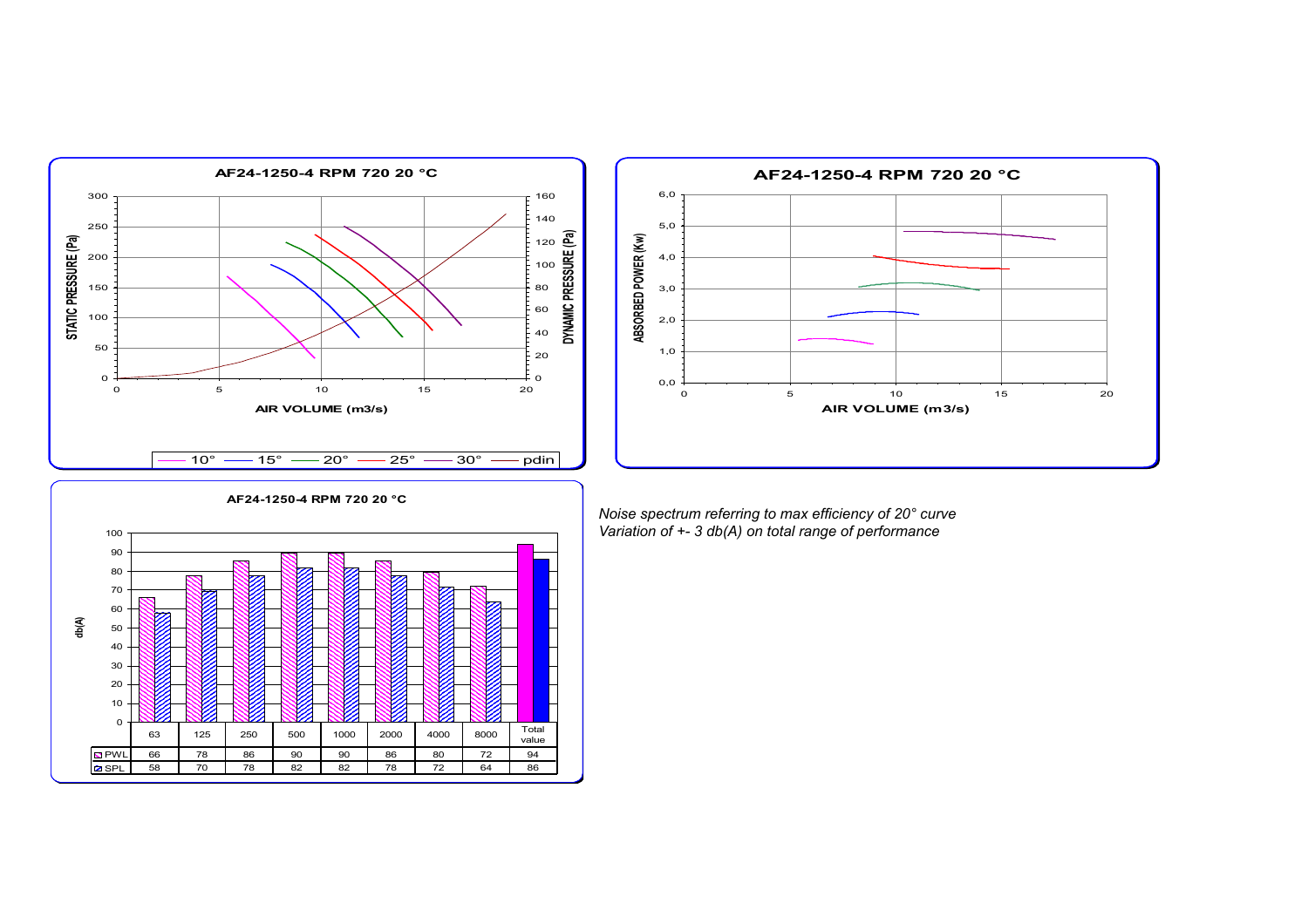



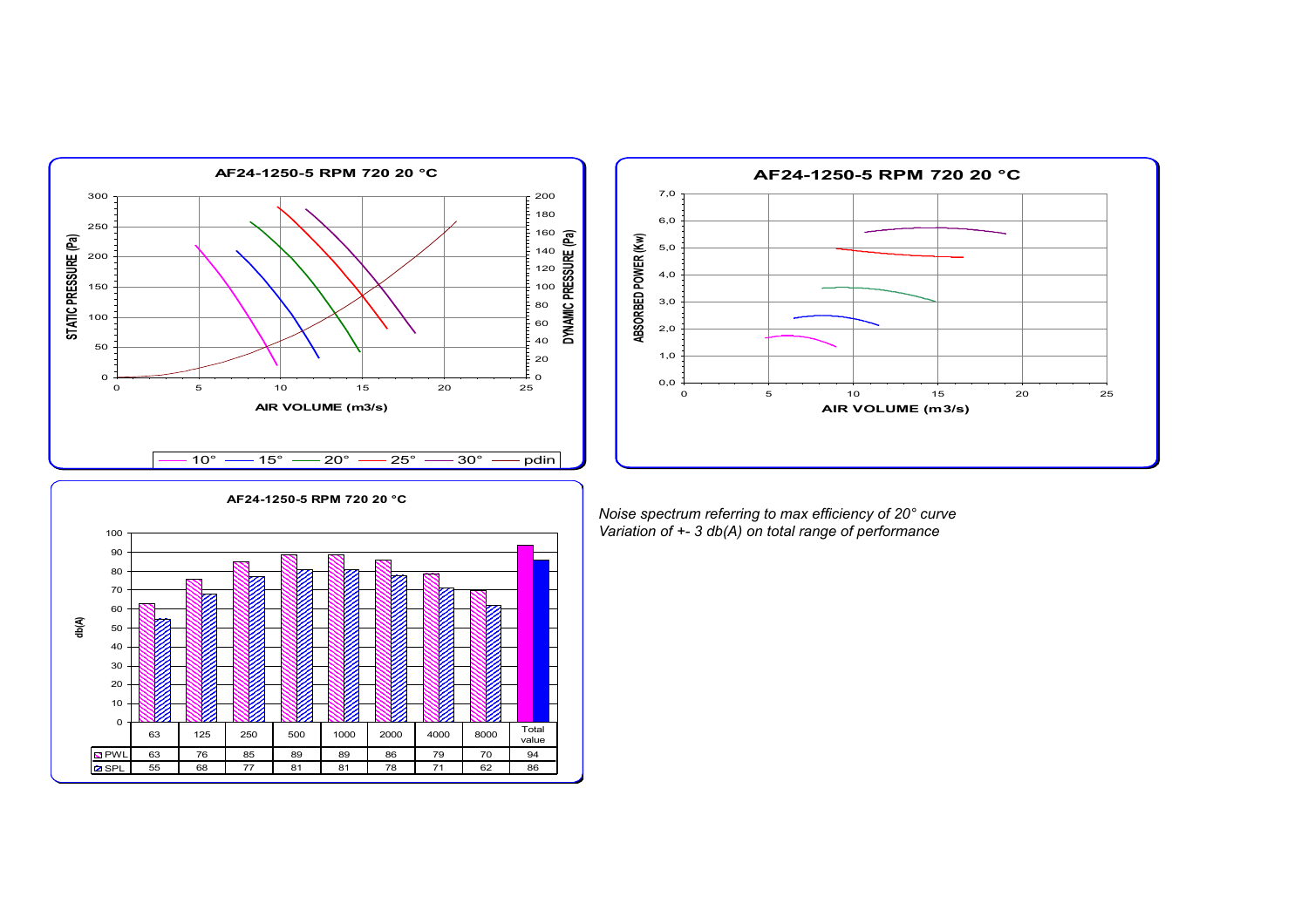



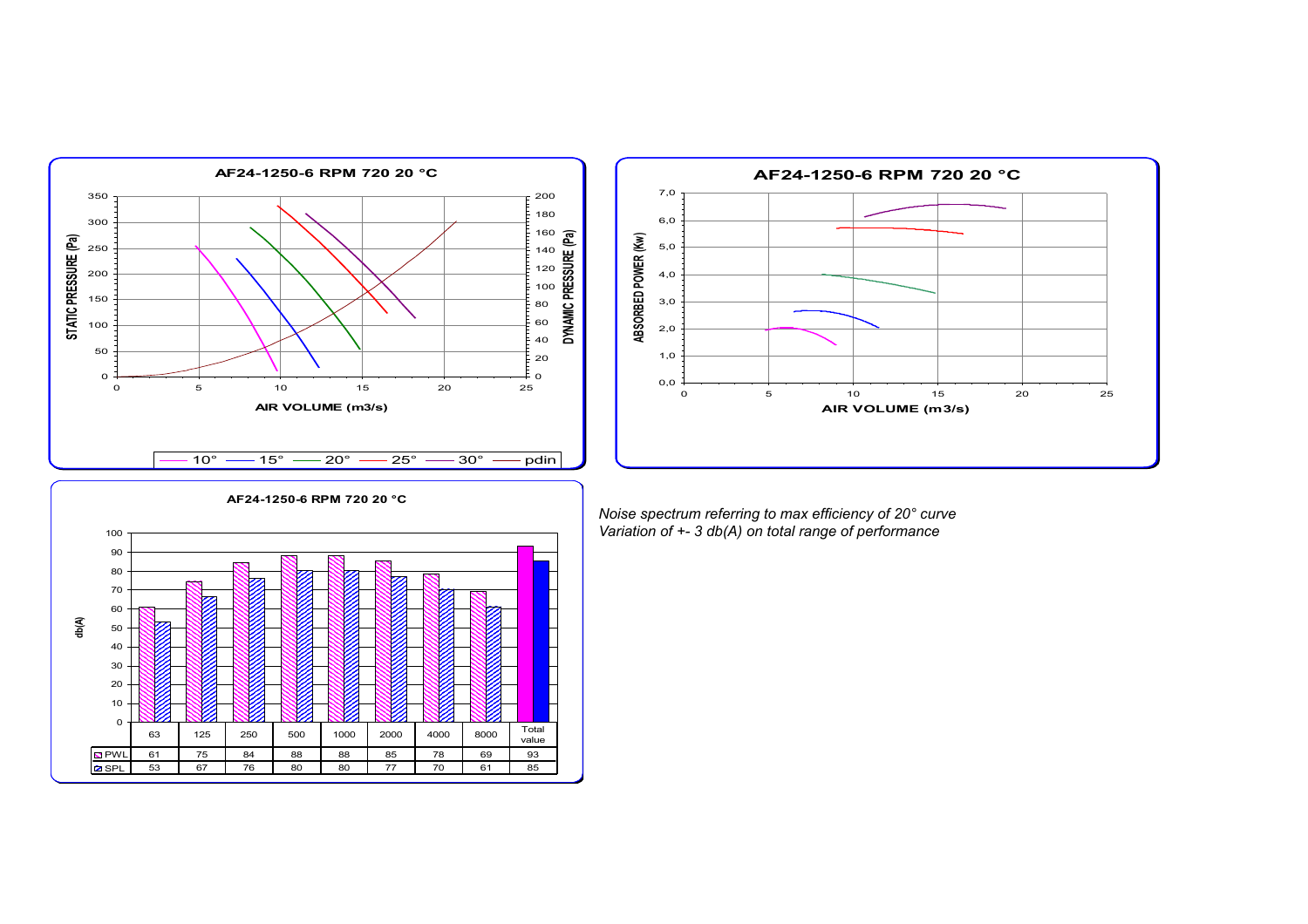



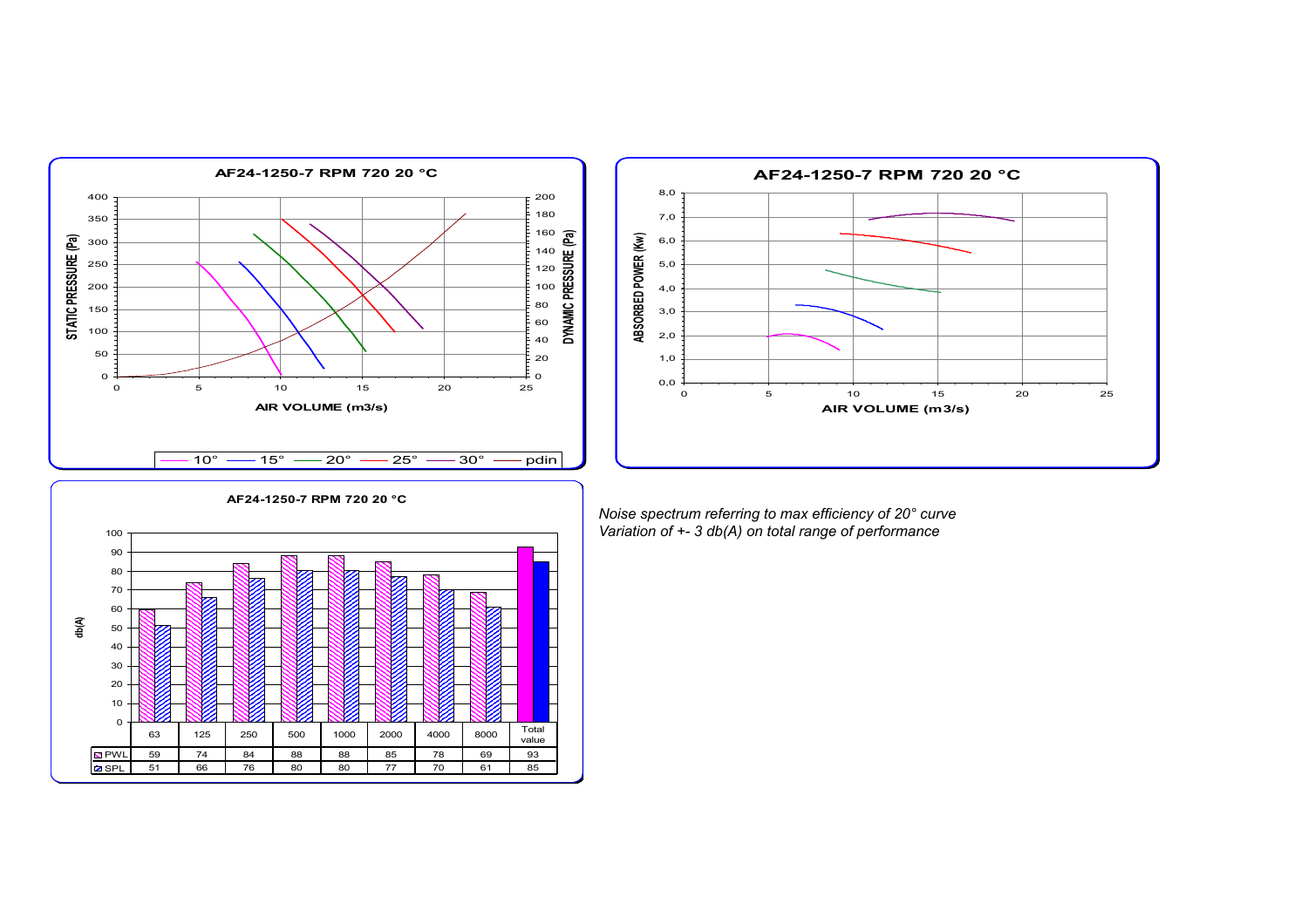